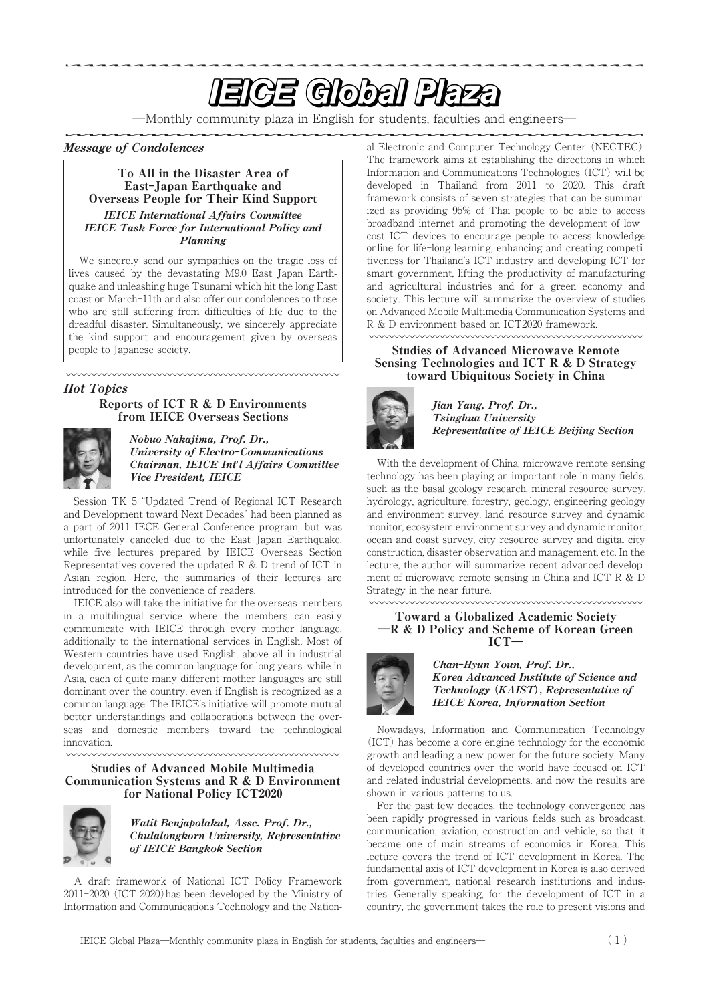# **EIGE Global Plaza**

―Monthly community plaza in English for students, faculties and engineers―

# Message of Condolences

#### To All in the Disaster Area of East**-**Japan Earthquake and Overseas People for Their Kind Support IEICE International Affairs Committee IEICE Task Force for International Policy and Planning

We sincerely send our sympathies on the tragic loss of lives caused by the devastating M9.0 East-Japan Earthquake and unleashing huge Tsunami which hit the long East coast on March-11th and also offer our condolences to those who are still suffering from difficulties of life due to the dreadful disaster. Simultaneously, we sincerely appreciate the kind support and encouragement given by overseas people to Japanese society.

#### Hot Topics

#### Reports of ICT  $R & D$  Environments from IEICE Overseas Sections

㍇㍇㍇㍇㍇㍇㍇㍇㍇㍇㍇㍇㍇㍇㍇㍇㍇㍇㍇㍇㍇㍇㍇㍇㍇㍇㍇

mmmmmmmmmmmmmmm



Nobuo Nakajima, Prof. Dr., University of Electro**-**Communications Chairman,IEICE Int**'**l Affairs Committee Vice President, IEICE

Session TK-5 "Updated Trend of Regional ICT Research and Development toward Next Decades" had been planned as a part of 2011 IECE General Conference program, but was unfortunately canceled due to the East Japan Earthquake, while five lectures prepared by IEICE Overseas Section Representatives covered the updated  $R &D$  trend of ICT in Asian region. Here, the summaries of their lectures are introduced for the convenience of readers.

IEICE also will take the initiative for the overseas members in a multilingual service where the members can easily communicate with IEICE through every mother language, additionally to the international services in English. Most of Western countries have used English, above all in industrial development, as the common language for long years, while in Asia, each of quite many different mother languages are still dominant over the country, even if English is recognized as a common language. The IEICE's initiative will promote mutual better understandings and collaborations between the overseas and domestic members toward the technological innovation.

#### Studies of Advanced Mobile Multimedia Communication Systems and R & D Environment for National Policy ICT2020



Watit Benjapolakul, Assc. Prof. Dr., Chulalongkorn University, Representative of IEICE Bangkok Section

A draft framework of National ICT Policy Framework 2011-2020 (ICT 2020)has been developed by the Ministry of Information and Communications Technology and the National Electronic and Computer Technology Center (NECTEC). The framework aims at establishing the directions in which Information and Communications Technologies (ICT) will be developed in Thailand from 2011 to 2020. This draft framework consists of seven strategies that can be summarized as providing 95% of Thai people to be able to access broadband internet and promoting the development of lowcost ICT devices to encourage people to access knowledge online for life-long learning, enhancing and creating competitiveness for Thailand's ICT industry and developing ICT for smart government, lifting the productivity of manufacturing and agricultural industries and for a green economy and society. This lecture will summarize the overview of studies on Advanced Mobile Multimedia Communication Systems and R & D environment based on ICT2020 framework.

#### Studies of Advanced Microwave Remote Sensing Technologies and ICT R & D Strategy toward Ubiquitous Society in China



Jian Yang, Prof. Dr., Tsinghua University Representative of IEICE Beijing Section

With the development of China, microwave remote sensing technology has been playing an important role in many fields, such as the basal geology research, mineral resource survey, hydrology, agriculture, forestry, geology, engineering geology and environment survey, land resource survey and dynamic monitor, ecosystem environment survey and dynamic monitor, ocean and coast survey, city resource survey and digital city construction, disaster observation and management, etc. In the lecture, the author will summarize recent advanced development of microwave remote sensing in China and ICT R & D Strategy in the near future.

#### Toward a Globalized Academic Society **―**R & D Policy and Scheme of Korean Green ICT**―**



#### Chan-Hyun Youn, Prof. Dr., Korea Advanced Institute of Science and Technology **(**KAIST**)**, Representative of **IEICE Korea, Information Section**

Nowadays, Information and Communication Technology (ICT) has become a core engine technology for the economic growth and leading a new power for the future society. Many of developed countries over the world have focused on ICT and related industrial developments, and now the results are shown in various patterns to us.

For the past few decades, the technology convergence has been rapidly progressed in various fields such as broadcast, communication, aviation, construction and vehicle, so that it became one of main streams of economics in Korea. This lecture covers the trend of ICT development in Korea. The fundamental axis of ICT development in Korea is also derived from government, national research institutions and industries. Generally speaking, for the development of ICT in a country, the government takes the role to present visions and